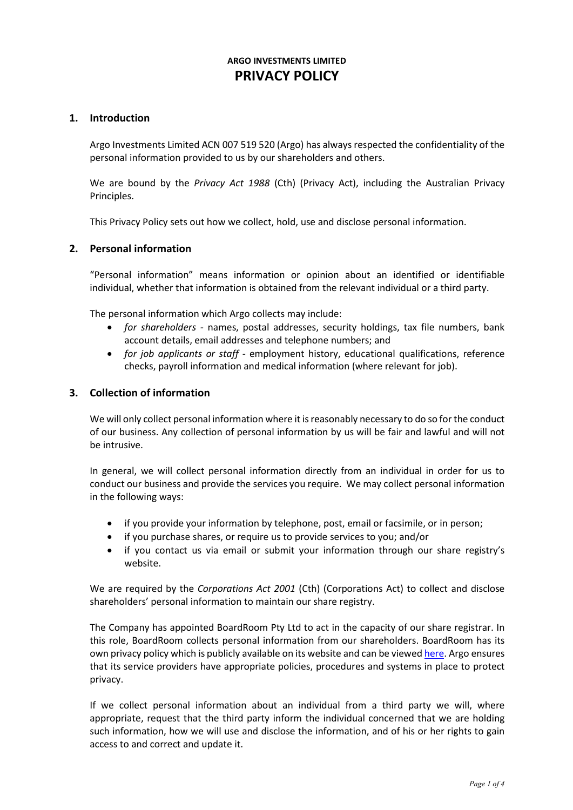# **ARGO INVESTMENTS LIMITED PRIVACY POLICY**

## **1. Introduction**

Argo Investments Limited ACN 007 519 520 (Argo) has always respected the confidentiality of the personal information provided to us by our shareholders and others.

We are bound by the *Privacy Act 1988* (Cth) (Privacy Act), including the Australian Privacy Principles.

This Privacy Policy sets out how we collect, hold, use and disclose personal information.

#### **2. Personal information**

"Personal information" means information or opinion about an identified or identifiable individual, whether that information is obtained from the relevant individual or a third party.

The personal information which Argo collects may include:

- *for shareholders* names, postal addresses, security holdings, tax file numbers, bank account details, email addresses and telephone numbers; and
- *for job applicants or staff* employment history, educational qualifications, reference checks, payroll information and medical information (where relevant for job).

#### **3. Collection of information**

We will only collect personal information where it is reasonably necessary to do so for the conduct of our business. Any collection of personal information by us will be fair and lawful and will not be intrusive.

In general, we will collect personal information directly from an individual in order for us to conduct our business and provide the services you require. We may collect personal information in the following ways:

- if you provide your information by telephone, post, email or facsimile, or in person;
- if you purchase shares, or require us to provide services to you; and/or
- if you contact us via email or submit your information through our share registry's website.

We are required by the *Corporations Act 2001* (Cth) (Corporations Act) to collect and disclose shareholders' personal information to maintain our share registry.

The Company has appointed BoardRoom Pty Ltd to act in the capacity of our share registrar. In this role, BoardRoom collects personal information from our shareholders. BoardRoom has its own privacy policy which is publicly available on its website and can be viewe[d here.](https://boardroomlimited.com.au/corp/privacy-policy/#:%7E:text=BoardRoom%20does%20not%20sell%2C%20trade,or%20suspected%20crime%20or%20fraud.) Argo ensures that its service providers have appropriate policies, procedures and systems in place to protect privacy.

If we collect personal information about an individual from a third party we will, where appropriate, request that the third party inform the individual concerned that we are holding such information, how we will use and disclose the information, and of his or her rights to gain access to and correct and update it.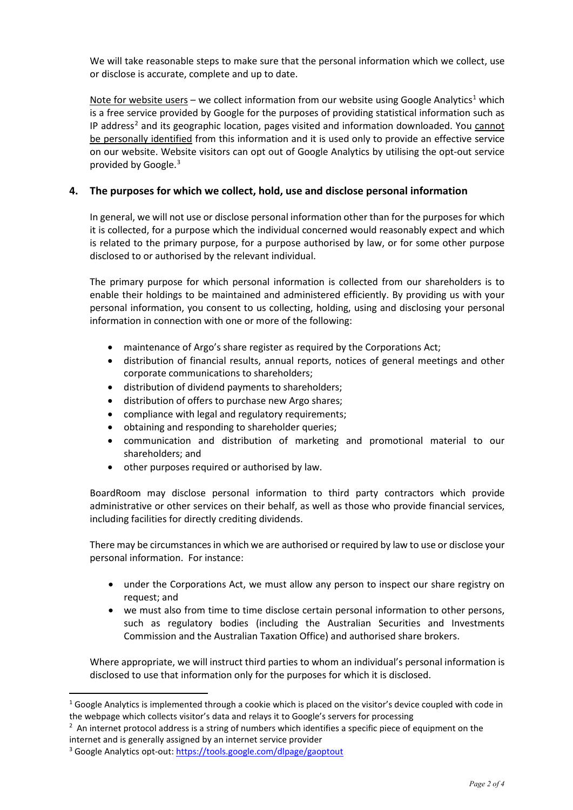We will take reasonable steps to make sure that the personal information which we collect, use or disclose is accurate, complete and up to date.

Note for website users – we collect information from our website using Google Analytics<sup>[1](#page-1-0)</sup> which is a free service provided by Google for the purposes of providing statistical information such as IP address<sup>[2](#page-1-1)</sup> and its geographic location, pages visited and information downloaded. You cannot be personally identified from this information and it is used only to provide an effective service on our website. Website visitors can opt out of Google Analytics by utilising the opt-out service provided by Google.[3](#page-1-2)

# **4. The purposes for which we collect, hold, use and disclose personal information**

In general, we will not use or disclose personal information other than for the purposes for which it is collected, for a purpose which the individual concerned would reasonably expect and which is related to the primary purpose, for a purpose authorised by law, or for some other purpose disclosed to or authorised by the relevant individual.

The primary purpose for which personal information is collected from our shareholders is to enable their holdings to be maintained and administered efficiently. By providing us with your personal information, you consent to us collecting, holding, using and disclosing your personal information in connection with one or more of the following:

- maintenance of Argo's share register as required by the Corporations Act;
- distribution of financial results, annual reports, notices of general meetings and other corporate communications to shareholders;
- distribution of dividend payments to shareholders;
- distribution of offers to purchase new Argo shares;
- compliance with legal and regulatory requirements;
- obtaining and responding to shareholder queries:
- communication and distribution of marketing and promotional material to our shareholders; and
- other purposes required or authorised by law.

BoardRoom may disclose personal information to third party contractors which provide administrative or other services on their behalf, as well as those who provide financial services, including facilities for directly crediting dividends.

There may be circumstances in which we are authorised or required by law to use or disclose your personal information. For instance:

- under the Corporations Act, we must allow any person to inspect our share registry on request; and
- we must also from time to time disclose certain personal information to other persons, such as regulatory bodies (including the Australian Securities and Investments Commission and the Australian Taxation Office) and authorised share brokers.

Where appropriate, we will instruct third parties to whom an individual's personal information is disclosed to use that information only for the purposes for which it is disclosed.

<span id="page-1-0"></span> $1$  Google Analytics is implemented through a cookie which is placed on the visitor's device coupled with code in the webpage which collects visitor's data and relays it to Google's servers for processing

<span id="page-1-1"></span> $2$  An internet protocol address is a string of numbers which identifies a specific piece of equipment on the internet and is generally assigned by an internet service provider

<span id="page-1-2"></span><sup>3</sup> Google Analytics opt-out: https://tools.google.com/dlpage/gaoptout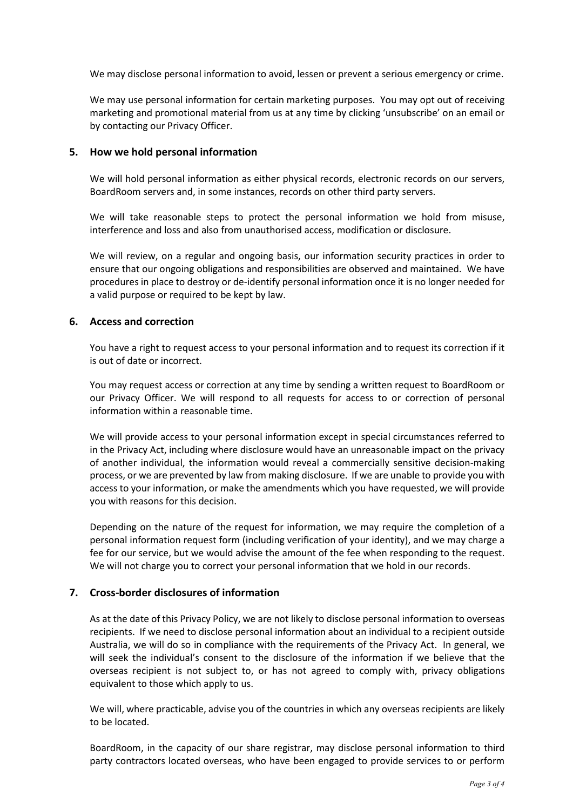We may disclose personal information to avoid, lessen or prevent a serious emergency or crime.

We may use personal information for certain marketing purposes. You may opt out of receiving marketing and promotional material from us at any time by clicking 'unsubscribe' on an email or by contacting our Privacy Officer.

#### **5. How we hold personal information**

We will hold personal information as either physical records, electronic records on our servers, BoardRoom servers and, in some instances, records on other third party servers.

We will take reasonable steps to protect the personal information we hold from misuse, interference and loss and also from unauthorised access, modification or disclosure.

We will review, on a regular and ongoing basis, our information security practices in order to ensure that our ongoing obligations and responsibilities are observed and maintained. We have procedures in place to destroy or de-identify personal information once it is no longer needed for a valid purpose or required to be kept by law.

#### **6. Access and correction**

You have a right to request access to your personal information and to request its correction if it is out of date or incorrect.

You may request access or correction at any time by sending a written request to BoardRoom or our Privacy Officer. We will respond to all requests for access to or correction of personal information within a reasonable time.

We will provide access to your personal information except in special circumstances referred to in the Privacy Act, including where disclosure would have an unreasonable impact on the privacy of another individual, the information would reveal a commercially sensitive decision-making process, or we are prevented by law from making disclosure. If we are unable to provide you with access to your information, or make the amendments which you have requested, we will provide you with reasons for this decision.

Depending on the nature of the request for information, we may require the completion of a personal information request form (including verification of your identity), and we may charge a fee for our service, but we would advise the amount of the fee when responding to the request. We will not charge you to correct your personal information that we hold in our records.

## **7. Cross-border disclosures of information**

As at the date of this Privacy Policy, we are not likely to disclose personal information to overseas recipients. If we need to disclose personal information about an individual to a recipient outside Australia, we will do so in compliance with the requirements of the Privacy Act. In general, we will seek the individual's consent to the disclosure of the information if we believe that the overseas recipient is not subject to, or has not agreed to comply with, privacy obligations equivalent to those which apply to us.

We will, where practicable, advise you of the countries in which any overseas recipients are likely to be located.

BoardRoom, in the capacity of our share registrar, may disclose personal information to third party contractors located overseas, who have been engaged to provide services to or perform